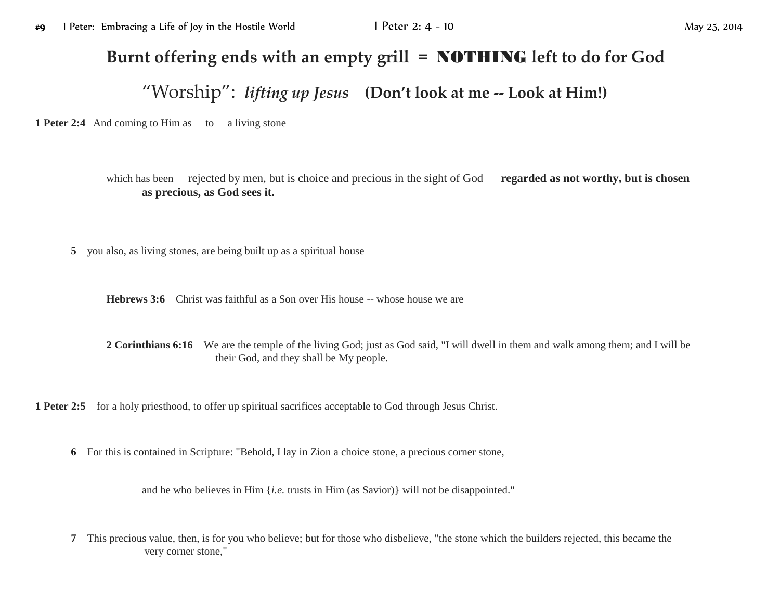## **Burnt offering ends with an empty grill =** NOTHING **left to do for God**

"Worship": *lifting up Jesus* **(Don't look at me -- Look at Him!)**

**1 Peter 2:4** And coming to Him as  $\leftarrow$  a living stone

which has been rejected by men, but is choice and precious in the sight of God regarded as not worthy, but is chosen **as precious, as God sees it.**

**5** you also, as living stones, are being built up as a spiritual house

**Hebrews 3:6** Christ was faithful as a Son over His house -- whose house we are

**2 Corinthians 6:16** We are the temple of the living God; just as God said, "I will dwell in them and walk among them; and I will be their God, and they shall be My people.

**1 Peter 2:5** for a holy priesthood, to offer up spiritual sacrifices acceptable to God through Jesus Christ.

**6** For this is contained in Scripture: "Behold, I lay in Zion a choice stone, a precious corner stone,

and he who believes in Him {*i.e.* trusts in Him (as Savior)} will not be disappointed."

**7** This precious value, then, is for you who believe; but for those who disbelieve, "the stone which the builders rejected, this became the very corner stone,"